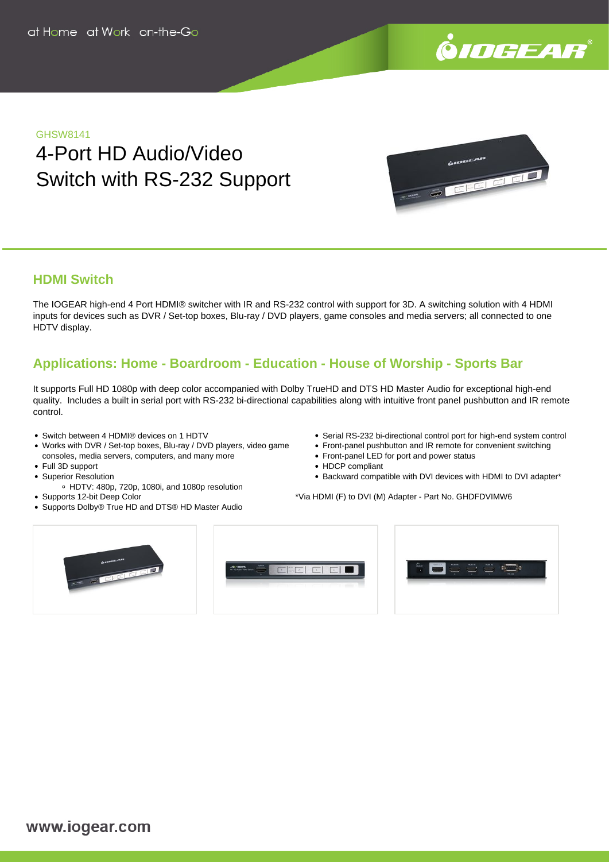

### GHSW8141

# 4-Port HD Audio/Video Switch with RS-232 Support



# **HDMI Switch**

The IOGEAR high-end 4 Port HDMI® switcher with IR and RS-232 control with support for 3D. A switching solution with 4 HDMI inputs for devices such as DVR / Set-top boxes, Blu-ray / DVD players, game consoles and media servers; all connected to one HDTV display.

# **Applications: Home - Boardroom - Education - House of Worship - Sports Bar**

It supports Full HD 1080p with deep color accompanied with Dolby TrueHD and DTS HD Master Audio for exceptional high-end quality. Includes a built in serial port with RS-232 bi-directional capabilities along with intuitive front panel pushbutton and IR remote control.

- Switch between 4 HDMI® devices on 1 HDTV
- Works with DVR / Set-top boxes, Blu-ray / DVD players, video game consoles, media servers, computers, and many more
- Full 3D support
- Superior Resolution
- HDTV: 480p, 720p, 1080i, and 1080p resolution
- Supports 12-bit Deep Color
- Supports Dolby® True HD and DTS® HD Master Audio
- Serial RS-232 bi-directional control port for high-end system control
- Front-panel pushbutton and IR remote for convenient switching
- Front-panel LED for port and power status
- HDCP compliant
- Backward compatible with DVI devices with HDMI to DVI adapter\*

\*Via HDMI (F) to DVI (M) Adapter - Part No. GHDFDVIMW6